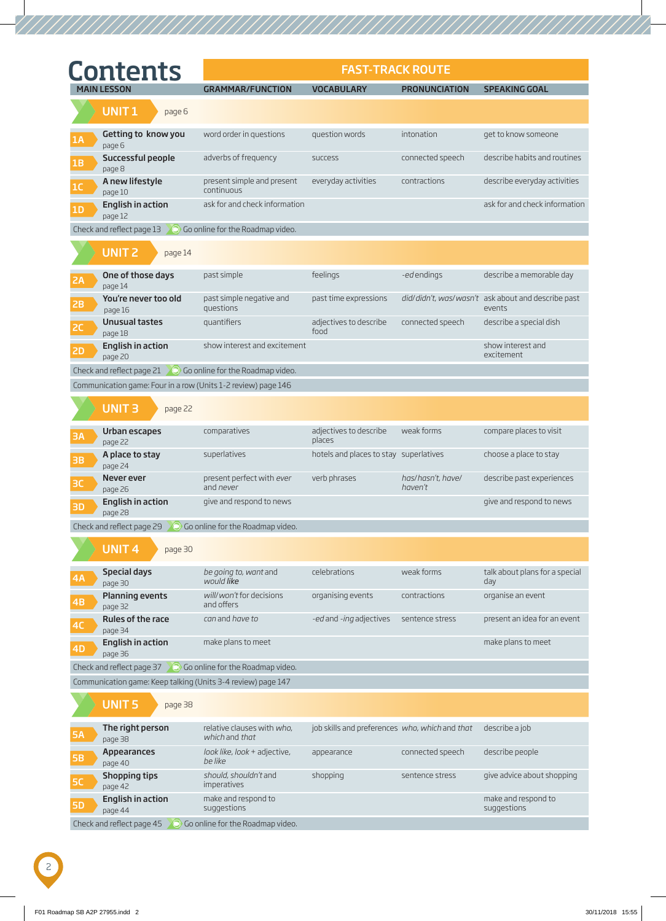|           | <b>Contents</b>                                                       |                                               | <b>FAST-TRACK ROUTE</b>                                       |                              |                                                              |
|-----------|-----------------------------------------------------------------------|-----------------------------------------------|---------------------------------------------------------------|------------------------------|--------------------------------------------------------------|
|           | <b>MAIN LESSON</b>                                                    | <b>GRAMMAR/FUNCTION</b>                       | <b>VOCABULARY</b>                                             | <b>PRONUNCIATION</b>         | <b>SPEAKING GOAL</b>                                         |
|           | <b>UNIT1</b><br>page 6                                                |                                               |                                                               |                              |                                                              |
| 1A        | Getting to know you<br>page 6                                         | word order in questions                       | question words                                                | intonation                   | get to know someone                                          |
| 1B        | Successful people<br>page 8                                           | adverbs of frequency                          | success                                                       | connected speech             | describe habits and routines                                 |
| 1C        | A new lifestyle<br>page 10                                            | present simple and present<br>continuous      | everyday activities                                           | contractions                 | describe everyday activities                                 |
| 1D        | <b>English in action</b><br>page 12                                   | ask for and check information                 |                                                               |                              | ask for and check information                                |
|           | Check and reflect page 13                                             | Go online for the Roadmap video.              |                                                               |                              |                                                              |
|           | <b>UNIT 2</b><br>page 14                                              |                                               |                                                               |                              |                                                              |
| 2A        | One of those days<br>page 14                                          | past simple                                   | feelings                                                      | -edendings                   | describe a memorable day                                     |
| 2B        | You're never too old<br>page 16                                       | past simple negative and<br>questions         | past time expressions                                         |                              | did/didn't, was/wasn't ask about and describe past<br>events |
| <b>2C</b> | <b>Unusual tastes</b><br>page 18                                      | quantifiers                                   | adjectives to describe<br>food                                | connected speech             | describe a special dish                                      |
| <b>2D</b> | <b>English in action</b><br>page 20                                   | show interest and excitement                  |                                                               |                              | show interest and<br>excitement                              |
|           | Check and reflect page 21 $\bigcirc$ Go online for the Roadmap video. |                                               |                                                               |                              |                                                              |
|           | Communication game: Four in a row (Units 1-2 review) page 146         |                                               |                                                               |                              |                                                              |
|           | <b>UNIT3</b><br>page 22                                               |                                               |                                                               |                              |                                                              |
| 3A        | Urban escapes<br>page 22                                              | comparatives                                  | adjectives to describe<br>places                              | weak forms                   | compare places to visit                                      |
| <b>3B</b> | A place to stay<br>page 24                                            | superlatives                                  | hotels and places to stay superlatives                        |                              | choose a place to stay                                       |
| 3C        | Never ever<br>page 26                                                 | present perfect with ever<br>and <i>never</i> | verb phrases                                                  | has/hasn't, have/<br>haven't | describe past experiences                                    |
| ЗD        | <b>English in action</b><br>page 28                                   | give and respond to news                      |                                                               |                              | give and respond to news                                     |
|           | Check and reflect page 29                                             | Co online for the Roadmap video.              |                                                               |                              |                                                              |
|           | <b>UNIT4</b><br>page 30                                               |                                               |                                                               |                              |                                                              |
| <b>4A</b> | <b>Special days</b><br>page 30                                        | be going to, want and<br>would like           | celebrations                                                  | weak forms                   | talk about plans for a special<br>day                        |
| 4B        | <b>Planning events</b><br>page 32                                     | will/won't for decisions<br>and offers        | organising events                                             | contractions                 | organise an event                                            |
| 4C        | Rules of the race<br>page 34                                          | can and have to                               | -ed and -ing adjectives sentence stress                       |                              | present an idea for an event                                 |
| 4D        | English in action<br>page 36                                          | make plans to meet                            |                                                               |                              | make plans to meet                                           |
|           | Check and reflect page $37$ 0 Go online for the Roadmap video.        |                                               |                                                               |                              |                                                              |
|           | Communication game: Keep talking (Units 3-4 review) page 147          |                                               |                                                               |                              |                                                              |
|           | <b>UNIT5</b><br>page 38                                               |                                               |                                                               |                              |                                                              |
| <b>5A</b> | The right person<br>page 38                                           | relative clauses with who,<br>which and that  | job skills and preferences who, which and that describe a job |                              |                                                              |
| <b>5B</b> | Appearances<br>page 40                                                | look like, look + adjective,<br>be like       | appearance                                                    | connected speech             | describe people                                              |
| <b>5C</b> | <b>Shopping tips</b><br>page 42                                       | should, shouldn't and<br>imperatives          | shopping                                                      | sentence stress              | give advice about shopping                                   |
| <b>5D</b> | <b>English in action</b><br>page 44                                   | make and respond to<br>suggestions            |                                                               |                              | make and respond to<br>suggestions                           |
|           | Check and reflect page $45\degree$ Go online for the Roadman video.   |                                               |                                                               |                              |                                                              |

Check and reflect page 45  $\sqrt{\phantom{a}}$  Go online for the Roadmap video.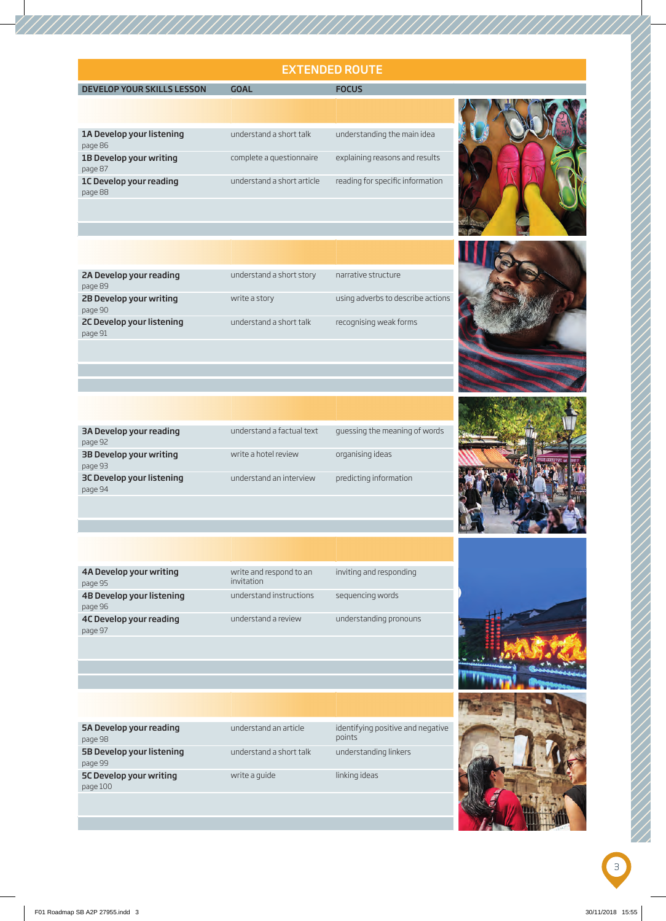## EXTENDED ROUTE

## MAIN DEVELOP YOUR SKILLS LESSON GOAL GOAL FOCUS

| understand a short talk<br>1A Develop your listening<br>1B Develop your writing<br>complete a questionnaire | understanding the main idea    |
|-------------------------------------------------------------------------------------------------------------|--------------------------------|
|                                                                                                             | explaining reasons and results |
|                                                                                                             |                                |



| 2A Develop your reading   | understand a short story | narrative structure               |  |
|---------------------------|--------------------------|-----------------------------------|--|
| page 89                   |                          |                                   |  |
| 2B Develop your writing   | write a story            | using adverbs to describe actions |  |
| page 90                   |                          |                                   |  |
| 2C Develop your listening | understand a short talk  | recognising weak forms            |  |
| page 91                   |                          |                                   |  |
|                           |                          |                                   |  |

| guessing the meaning of words<br>understand a factual text<br>write a hotel review<br>organising ideas<br>predicting information<br>understand an interview |                           |
|-------------------------------------------------------------------------------------------------------------------------------------------------------------|---------------------------|
|                                                                                                                                                             | 3A Develop your reading   |
|                                                                                                                                                             | page 92                   |
|                                                                                                                                                             | 3B Develop your writing   |
|                                                                                                                                                             | page 93                   |
|                                                                                                                                                             | 3C Develop your listening |
|                                                                                                                                                             | page 94                   |







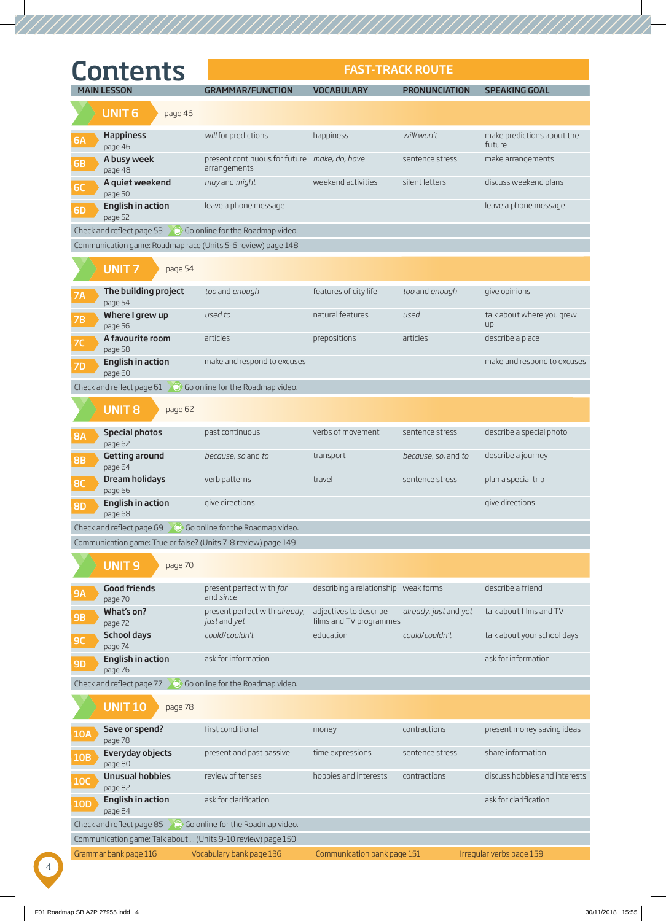|            | <b>Contents</b>                                                        |                                                              | <b>FAST-TRACK ROUTE</b>                           |                       |                                      |
|------------|------------------------------------------------------------------------|--------------------------------------------------------------|---------------------------------------------------|-----------------------|--------------------------------------|
|            | <b>MAIN LESSON</b>                                                     | <b>GRAMMAR/FUNCTION</b>                                      | <b>VOCABULARY</b>                                 | <b>PRONUNCIATION</b>  | <b>SPEAKING GOAL</b>                 |
|            | UNIT <sub>6</sub><br>page 46                                           |                                                              |                                                   |                       |                                      |
| <b>6A</b>  | Happiness<br>page 46                                                   | will for predictions                                         | happiness                                         | will/won't            | make predictions about the<br>future |
| <b>6B</b>  | A busy week<br>page 48                                                 | present continuous for future make, do, have<br>arrangements |                                                   | sentence stress       | make arrangements                    |
| 6C         | A quiet weekend<br>page 50                                             | may and might                                                | weekend activities                                | silent letters        | discuss weekend plans                |
| <b>6D</b>  | <b>English in action</b><br>page 52                                    | leave a phone message                                        |                                                   |                       | leave a phone message                |
|            | Check and reflect page 53 $\bigcirc$ Go online for the Roadmap video.  |                                                              |                                                   |                       |                                      |
|            | Communication game: Roadmap race (Units 5-6 review) page 148           |                                                              |                                                   |                       |                                      |
|            | <b>UNIT7</b><br>page 54                                                |                                                              |                                                   |                       |                                      |
| <b>7A</b>  | The building project<br>page 54                                        | too and enough                                               | features of city life                             | too and enough        | give opinions                        |
| <b>7B</b>  | Where I grew up<br>page 56                                             | used to                                                      | natural features                                  | used                  | talk about where you grew<br>up      |
| <b>7C</b>  | A favourite room<br>page 58                                            | articles                                                     | prepositions                                      | articles              | describe a place                     |
| <b>7D</b>  | <b>English in action</b><br>page 60                                    | make and respond to excuses                                  |                                                   |                       | make and respond to excuses          |
|            | Check and reflect page $61$ $\bullet$ Go online for the Roadmap video. |                                                              |                                                   |                       |                                      |
|            | <b>UNIT 8</b><br>page 62                                               |                                                              |                                                   |                       |                                      |
| <b>8A</b>  | <b>Special photos</b><br>page 62                                       | past continuous                                              | verbs of movement                                 | sentence stress       | describe a special photo             |
| <b>8B</b>  | <b>Getting around</b><br>page 64                                       | because, so and to                                           | transport                                         | because, so, and to   | describe a journey                   |
| <b>8C</b>  | <b>Dream holidays</b><br>page 66                                       | verb patterns                                                | travel                                            | sentence stress       | plan a special trip                  |
| <b>8D</b>  | <b>English in action</b><br>page 68                                    | give directions                                              |                                                   |                       | give directions                      |
|            | Check and reflect page 69 $\bigcirc$ Go online for the Roadmap video.  |                                                              |                                                   |                       |                                      |
|            | Communication game: True or false? (Units 7-8 review) page 149         |                                                              |                                                   |                       |                                      |
|            | <b>UNIT9</b><br>page 70                                                |                                                              |                                                   |                       |                                      |
| <b>9A</b>  | <b>Good friends</b><br>page 70                                         | present perfect with for<br>and since                        | describing a relationship weak forms              |                       | describe a friend                    |
| 9B         | What's on?<br>page 72                                                  | present perfect with already,<br>just and yet                | adjectives to describe<br>films and TV programmes | already, just and yet | talk about films and TV              |
| <b>9C</b>  | School days<br>page 74                                                 | could/couldn't                                               | education                                         | could/couldn't        | talk about your school days          |
| <b>9D</b>  | English in action<br>page 76                                           | ask for information                                          |                                                   |                       | ask for information                  |
|            | Check and reflect page 77 $\bigcirc$ Go online for the Roadmap video.  |                                                              |                                                   |                       |                                      |
|            | <b>UNIT 10</b><br>page 78                                              |                                                              |                                                   |                       |                                      |
| <b>10A</b> | Save or spend?<br>page 78                                              | first conditional                                            | money                                             | contractions          | present money saving ideas           |
| <b>10B</b> | Everyday objects<br>page 80                                            | present and past passive                                     | time expressions                                  | sentence stress       | share information                    |
| <b>10C</b> | <b>Unusual hobbies</b><br>page 82                                      | review of tenses                                             | hobbies and interests                             | contractions          | discuss hobbies and interests        |
| <b>10D</b> | English in action<br>page 84                                           | ask for clarification                                        |                                                   |                       | ask for clarification                |
|            | Check and reflect page 85                                              | Go online for the Roadmap video.                             |                                                   |                       |                                      |
|            | Communication game: Talk about  (Units 9-10 review) page 150           |                                                              |                                                   |                       |                                      |
|            | Grammar bank page 116                                                  | Vocabulary bank page 136                                     | Communication bank page 151                       |                       | Irregular verbs page 159             |

4